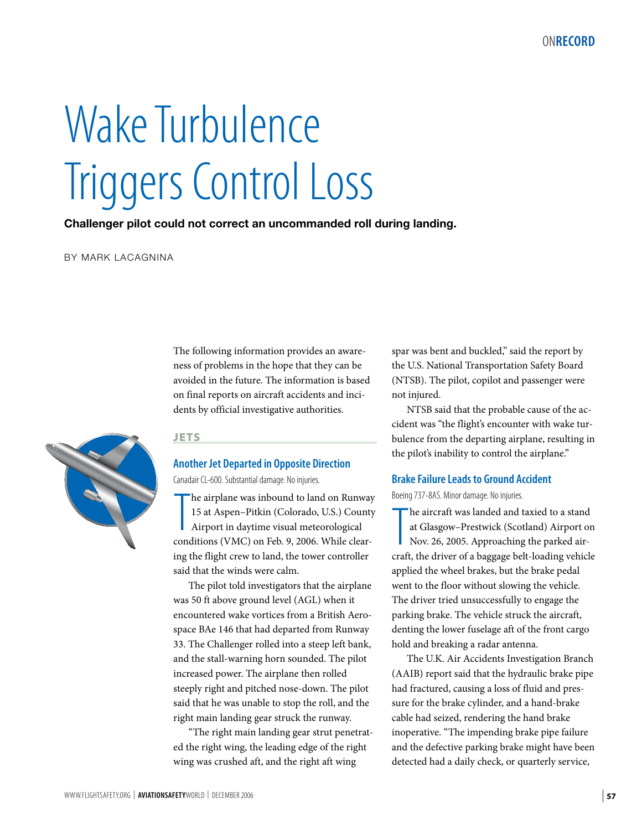# Wake Turbulence Triggers Control Loss

**Challenger pilot could not correct an uncommanded roll during landing.**

BY MARK LACAGNINA

The following information provides an awareness of problems in the hope that they can be avoided in the future. The information is based on final reports on aircraft accidents and incidents by official investigative authorities.



#### **JETS**

## **Another Jet Departed in Opposite Direction**

Canadair CL-600. Substantial damage. No injuries.

The airplane was inbound to land on Runway<br>15 at Aspen–Pitkin (Colorado, U.S.) County<br>Airport in daytime visual meteorological<br>conditions (VMC) on Feb. 9, 2006. While clearhe airplane was inbound to land on Runway 15 at Aspen–Pitkin (Colorado, U.S.) County Airport in daytime visual meteorological ing the flight crew to land, the tower controller said that the winds were calm.

The pilot told investigators that the airplane was 50 ft above ground level (AGL) when it encountered wake vortices from a British Aerospace BAe 146 that had departed from Runway 33. The Challenger rolled into a steep left bank, and the stall-warning horn sounded. The pilot increased power. The airplane then rolled steeply right and pitched nose-down. The pilot said that he was unable to stop the roll, and the right main landing gear struck the runway.

"The right main landing gear strut penetrated the right wing, the leading edge of the right wing was crushed aft, and the right aft wing

spar was bent and buckled," said the report by the U.S. National Transportation Safety Board (NTSB). The pilot, copilot and passenger were not injured.

NTSB said that the probable cause of the accident was "the flight's encounter with wake turbulence from the departing airplane, resulting in the pilot's inability to control the airplane."

#### **Brake Failure Leads to Ground Accident**

Boeing 737-8AS. Minor damage. No injuries.

The aircraft was landed and taxied to a stand<br>at Glasgow–Prestwick (Scotland) Airport on<br>Nov. 26, 2005. Approaching the parked air-<br>craft, the driver of a baggage belt-loading vehicle he aircraft was landed and taxied to a stand at Glasgow–Prestwick (Scotland) Airport on Nov. 26, 2005. Approaching the parked airapplied the wheel brakes, but the brake pedal went to the floor without slowing the vehicle. The driver tried unsuccessfully to engage the parking brake. The vehicle struck the aircraft, denting the lower fuselage aft of the front cargo hold and breaking a radar antenna.

The U.K. Air Accidents Investigation Branch (AAIB) report said that the hydraulic brake pipe had fractured, causing a loss of fluid and pressure for the brake cylinder, and a hand-brake cable had seized, rendering the hand brake inoperative. "The impending brake pipe failure and the defective parking brake might have been detected had a daily check, or quarterly service,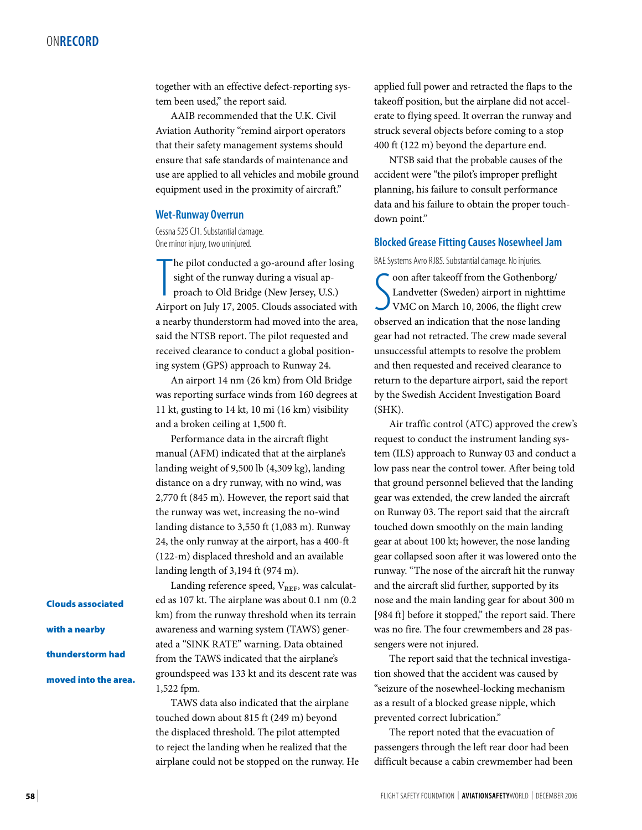together with an effective defect-reporting system been used," the report said.

AAIB recommended that the U.K. Civil Aviation Authority "remind airport operators that their safety management systems should ensure that safe standards of maintenance and use are applied to all vehicles and mobile ground equipment used in the proximity of aircraft."

#### **Wet-Runway Overrun**

Cessna 525 CJ1. Substantial damage. One minor injury, two uninjured.

 $\prod$ he pilot conducted a go-around after losing sight of the runway during a visual approach to Old Bridge (New Jersey, U.S.) Airport on July 17, 2005. Clouds associated with a nearby thunderstorm had moved into the area, said the NTSB report. The pilot requested and received clearance to conduct a global positioning system (GPS) approach to Runway 24.

An airport 14 nm (26 km) from Old Bridge was reporting surface winds from 160 degrees at 11 kt, gusting to 14 kt, 10 mi (16 km) visibility and a broken ceiling at 1,500 ft.

Performance data in the aircraft flight manual (AFM) indicated that at the airplane's landing weight of 9,500 lb (4,309 kg), landing distance on a dry runway, with no wind, was 2,770 ft (845 m). However, the report said that the runway was wet, increasing the no-wind landing distance to 3,550 ft (1,083 m). Runway 24, the only runway at the airport, has a 400-ft (122-m) displaced threshold and an available landing length of 3,194 ft (974 m).

Landing reference speed,  $V_{REF}$ , was calculated as 107 kt. The airplane was about 0.1 nm (0.2 km) from the runway threshold when its terrain awareness and warning system (TAWS) generated a "SINK RATE" warning. Data obtained from the TAWS indicated that the airplane's groundspeed was 133 kt and its descent rate was 1,522 fpm.

TAWS data also indicated that the airplane touched down about 815 ft (249 m) beyond the displaced threshold. The pilot attempted to reject the landing when he realized that the airplane could not be stopped on the runway. He applied full power and retracted the flaps to the takeoff position, but the airplane did not accelerate to flying speed. It overran the runway and struck several objects before coming to a stop 400 ft (122 m) beyond the departure end.

NTSB said that the probable causes of the accident were "the pilot's improper preflight planning, his failure to consult performance data and his failure to obtain the proper touchdown point."

#### **Blocked Grease Fitting Causes Nosewheel Jam**

BAE Systems Avro RJ85. Substantial damage. No injuries.

Coon after takeoff from the Gothenborg/<br>Landvetter (Sweden) airport in nighttime<br>VMC on March 10, 2006, the flight crew<br>observed an indication that the nose landing oon after takeoff from the Gothenborg/ Landvetter (Sweden) airport in nighttime VMC on March 10, 2006, the flight crew gear had not retracted. The crew made several unsuccessful attempts to resolve the problem and then requested and received clearance to return to the departure airport, said the report by the Swedish Accident Investigation Board (SHK).

Air traffic control (ATC) approved the crew's request to conduct the instrument landing system (ILS) approach to Runway 03 and conduct a low pass near the control tower. After being told that ground personnel believed that the landing gear was extended, the crew landed the aircraft on Runway 03. The report said that the aircraft touched down smoothly on the main landing gear at about 100 kt; however, the nose landing gear collapsed soon after it was lowered onto the runway. "The nose of the aircraft hit the runway and the aircraft slid further, supported by its nose and the main landing gear for about 300 m [984 ft] before it stopped," the report said. There was no fire. The four crewmembers and 28 passengers were not injured.

The report said that the technical investigation showed that the accident was caused by "seizure of the nosewheel-locking mechanism as a result of a blocked grease nipple, which prevented correct lubrication."

The report noted that the evacuation of passengers through the left rear door had been difficult because a cabin crewmember had been

Clouds associated

with a nearby

thunderstorm had

moved into the area.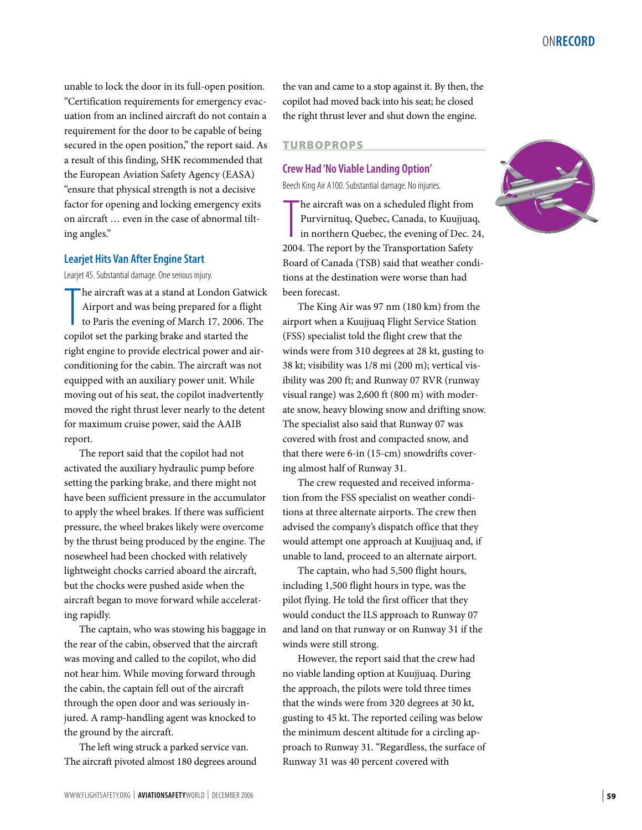unable to lock the door in its full-open position. "Certification requirements for emergency evacuation from an inclined aircraft do not contain a requirement for the door to be capable of being secured in the open position," the report said. As a result of this finding, SHK recommended that the European Aviation Safety Agency (EASA) "ensure that physical strength is not a decisive factor for opening and locking emergency exits on aircraft … even in the case of abnormal tilting angles."

#### **Learjet Hits Van After Engine Start**

Learjet 45. Substantial damage. One serious injury.

The aircraft was at a stand at London Gaty<br>Airport and was being prepared for a flig<br>to Paris the evening of March 17, 2006. T<br>copilot set the parking brake and started the he aircraft was at a stand at London Gatwick Airport and was being prepared for a flight to Paris the evening of March 17, 2006. The right engine to provide electrical power and airconditioning for the cabin. The aircraft was not equipped with an auxiliary power unit. While moving out of his seat, the copilot inadvertently moved the right thrust lever nearly to the detent for maximum cruise power, said the AAIB report.

The report said that the copilot had not activated the auxiliary hydraulic pump before setting the parking brake, and there might not have been sufficient pressure in the accumulator to apply the wheel brakes. If there was sufficient pressure, the wheel brakes likely were overcome by the thrust being produced by the engine. The nosewheel had been chocked with relatively lightweight chocks carried aboard the aircraft, but the chocks were pushed aside when the aircraft began to move forward while accelerating rapidly.

The captain, who was stowing his baggage in the rear of the cabin, observed that the aircraft was moving and called to the copilot, who did not hear him. While moving forward through the cabin, the captain fell out of the aircraft through the open door and was seriously injured. A ramp-handling agent was knocked to the ground by the aircraft.

The left wing struck a parked service van. The aircraft pivoted almost 180 degrees around the van and came to a stop against it. By then, the copilot had moved back into his seat; he closed the right thrust lever and shut down the engine.

#### TURBOPROPS

## **Crew Had 'No Viable Landing Option'**

Beech King Air A100. Substantial damage. No injuries.

The aircraft was on a scheduled flight from<br>
Purvirnituq, Quebec, Canada, to Kuujjuac<br>
in northern Quebec, the evening of Dec. 2<br>
2004. The report by the Transportation Safety he aircraft was on a scheduled flight from Purvirnituq, Quebec, Canada, to Kuujjuaq, in northern Quebec, the evening of Dec. 24, Board of Canada (TSB) said that weather conditions at the destination were worse than had been forecast.

The King Air was 97 nm (180 km) from the airport when a Kuujjuaq Flight Service Station (FSS) specialist told the flight crew that the winds were from 310 degrees at 28 kt, gusting to 38 kt; visibility was 1/8 mi (200 m); vertical visibility was 200 ft; and Runway 07 RVR (runway visual range) was 2,600 ft (800 m) with moderate snow, heavy blowing snow and drifting snow. The specialist also said that Runway 07 was covered with frost and compacted snow, and that there were 6-in (15-cm) snowdrifts covering almost half of Runway 31.

The crew requested and received information from the FSS specialist on weather conditions at three alternate airports. The crew then advised the company's dispatch office that they would attempt one approach at Kuujjuaq and, if unable to land, proceed to an alternate airport.

The captain, who had 5,500 flight hours, including 1,500 flight hours in type, was the pilot flying. He told the first officer that they would conduct the ILS approach to Runway 07 and land on that runway or on Runway 31 if the winds were still strong.

However, the report said that the crew had no viable landing option at Kuujjuaq. During the approach, the pilots were told three times that the winds were from 320 degrees at 30 kt, gusting to 45 kt. The reported ceiling was below the minimum descent altitude for a circling approach to Runway 31. "Regardless, the surface of Runway 31 was 40 percent covered with

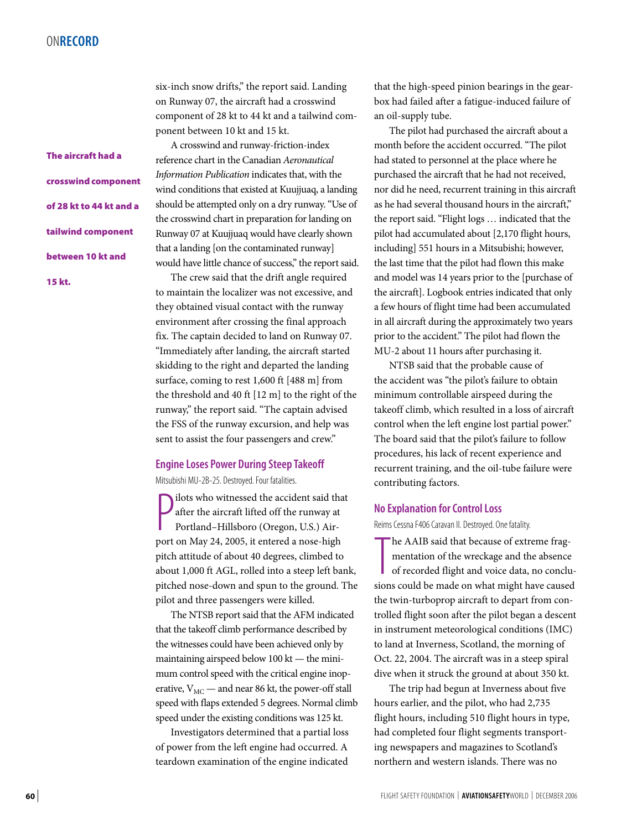The aircraft had a crosswind component of 28 kt to 44 kt and a tailwind component between 10 kt and 15 kt.

six-inch snow drifts," the report said. Landing on Runway 07, the aircraft had a crosswind component of 28 kt to 44 kt and a tailwind component between 10 kt and 15 kt.

A crosswind and runway-friction-index reference chart in the Canadian *Aeronautical Information Publication* indicates that, with the wind conditions that existed at Kuujjuaq, a landing should be attempted only on a dry runway. "Use of the crosswind chart in preparation for landing on Runway 07 at Kuujjuaq would have clearly shown that a landing [on the contaminated runway] would have little chance of success," the report said.

The crew said that the drift angle required to maintain the localizer was not excessive, and they obtained visual contact with the runway environment after crossing the final approach fix. The captain decided to land on Runway 07. "Immediately after landing, the aircraft started skidding to the right and departed the landing surface, coming to rest 1,600 ft [488 m] from the threshold and 40 ft [12 m] to the right of the runway," the report said. "The captain advised the FSS of the runway excursion, and help was sent to assist the four passengers and crew."

#### **Engine Loses Power During Steep Takeoff**

Mitsubishi MU-2B-25. Destroyed. Four fatalities.

**P** ilots who witnessed the accident said that<br>after the aircraft lifted off the runway at<br>Portland–Hillsboro (Oregon, U.S.) Air-<br>port on May 24, 2005, it entered a nose-high ilots who witnessed the accident said that after the aircraft lifted off the runway at Portland–Hillsboro (Oregon, U.S.) Airpitch attitude of about 40 degrees, climbed to about 1,000 ft AGL, rolled into a steep left bank, pitched nose-down and spun to the ground. The pilot and three passengers were killed.

The NTSB report said that the AFM indicated that the takeoff climb performance described by the witnesses could have been achieved only by maintaining airspeed below 100 kt — the minimum control speed with the critical engine inoperative,  $V_{MC}$  — and near 86 kt, the power-off stall speed with flaps extended 5 degrees. Normal climb speed under the existing conditions was 125 kt.

Investigators determined that a partial loss of power from the left engine had occurred. A teardown examination of the engine indicated

that the high-speed pinion bearings in the gearbox had failed after a fatigue-induced failure of an oil-supply tube.

The pilot had purchased the aircraft about a month before the accident occurred. "The pilot had stated to personnel at the place where he purchased the aircraft that he had not received, nor did he need, recurrent training in this aircraft as he had several thousand hours in the aircraft," the report said. "Flight logs … indicated that the pilot had accumulated about [2,170 flight hours, including] 551 hours in a Mitsubishi; however, the last time that the pilot had flown this make and model was 14 years prior to the [purchase of the aircraft]. Logbook entries indicated that only a few hours of flight time had been accumulated in all aircraft during the approximately two years prior to the accident." The pilot had flown the MU-2 about 11 hours after purchasing it.

NTSB said that the probable cause of the accident was "the pilot's failure to obtain minimum controllable airspeed during the takeoff climb, which resulted in a loss of aircraft control when the left engine lost partial power." The board said that the pilot's failure to follow procedures, his lack of recent experience and recurrent training, and the oil-tube failure were contributing factors.

#### **No Explanation for Control Loss**

Reims Cessna F406 Caravan II. Destroyed. One fatality.

The AAIB said that because of extreme fragmentation of the wreckage and the absence of recorded flight and voice data, no conclusions could be made on what might have caused he AAIB said that because of extreme fragmentation of the wreckage and the absence of recorded flight and voice data, no concluthe twin-turboprop aircraft to depart from controlled flight soon after the pilot began a descent in instrument meteorological conditions (IMC) to land at Inverness, Scotland, the morning of Oct. 22, 2004. The aircraft was in a steep spiral dive when it struck the ground at about 350 kt.

The trip had begun at Inverness about five hours earlier, and the pilot, who had 2,735 flight hours, including 510 flight hours in type, had completed four flight segments transporting newspapers and magazines to Scotland's northern and western islands. There was no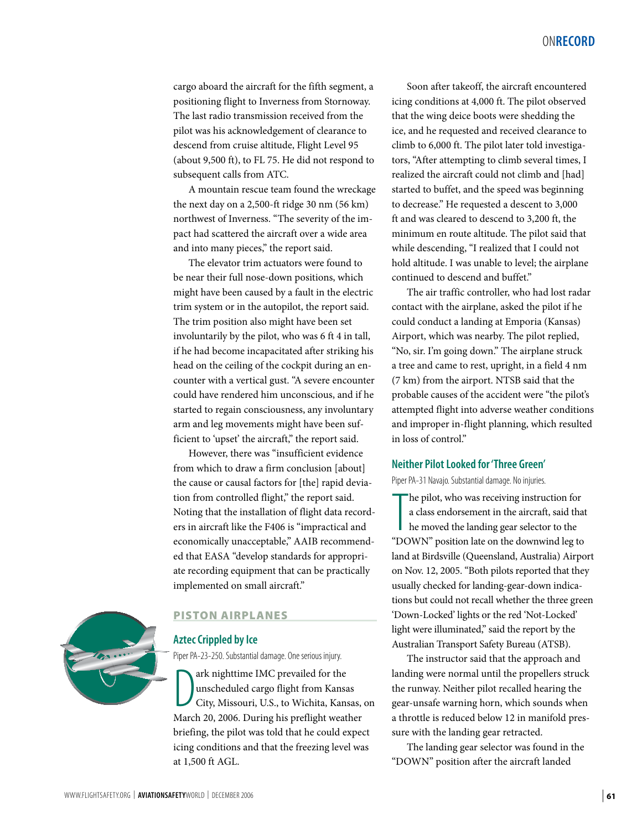cargo aboard the aircraft for the fifth segment, a positioning flight to Inverness from Stornoway. The last radio transmission received from the pilot was his acknowledgement of clearance to descend from cruise altitude, Flight Level 95 (about 9,500 ft), to FL 75. He did not respond to subsequent calls from ATC.

A mountain rescue team found the wreckage the next day on a 2,500-ft ridge 30 nm (56 km) northwest of Inverness. "The severity of the impact had scattered the aircraft over a wide area and into many pieces," the report said.

The elevator trim actuators were found to be near their full nose-down positions, which might have been caused by a fault in the electric trim system or in the autopilot, the report said. The trim position also might have been set involuntarily by the pilot, who was 6 ft 4 in tall, if he had become incapacitated after striking his head on the ceiling of the cockpit during an encounter with a vertical gust. "A severe encounter could have rendered him unconscious, and if he started to regain consciousness, any involuntary arm and leg movements might have been sufficient to 'upset' the aircraft," the report said.

However, there was "insufficient evidence from which to draw a firm conclusion [about] the cause or causal factors for [the] rapid deviation from controlled flight," the report said. Noting that the installation of flight data recorders in aircraft like the F406 is "impractical and economically unacceptable," AAIB recommended that EASA "develop standards for appropriate recording equipment that can be practically implemented on small aircraft."



#### PISTON AIRPLANES

### **Aztec Crippled by Ice**

Piper PA-23-250. Substantial damage. One serious injury.

ark nighttime IMC prevailed for the<br>unscheduled cargo flight from Kansas<br>City, Missouri, U.S., to Wichita, Kansas,<br>March 20, 2006. During his preflight weather ark nighttime IMC prevailed for the unscheduled cargo flight from Kansas City, Missouri, U.S., to Wichita, Kansas, on briefing, the pilot was told that he could expect icing conditions and that the freezing level was at 1,500 ft AGL.

Soon after takeoff, the aircraft encountered icing conditions at 4,000 ft. The pilot observed that the wing deice boots were shedding the ice, and he requested and received clearance to climb to 6,000 ft. The pilot later told investigators, "After attempting to climb several times, I realized the aircraft could not climb and [had] started to buffet, and the speed was beginning to decrease." He requested a descent to 3,000 ft and was cleared to descend to 3,200 ft, the minimum en route altitude. The pilot said that while descending, "I realized that I could not hold altitude. I was unable to level; the airplane continued to descend and buffet."

The air traffic controller, who had lost radar contact with the airplane, asked the pilot if he could conduct a landing at Emporia (Kansas) Airport, which was nearby. The pilot replied, "No, sir. I'm going down." The airplane struck a tree and came to rest, upright, in a field 4 nm (7 km) from the airport. NTSB said that the probable causes of the accident were "the pilot's attempted flight into adverse weather conditions and improper in-flight planning, which resulted in loss of control."

#### **Neither Pilot Looked for 'Three Green'**

Piper PA-31 Navajo. Substantial damage. No injuries.

The pilot, who was receiving instruction for<br>a class endorsement in the aircraft, said that<br>he moved the landing gear selector to the<br>"DOWN" position late on the downwind leg to he pilot, who was receiving instruction for a class endorsement in the aircraft, said that he moved the landing gear selector to the land at Birdsville (Queensland, Australia) Airport on Nov. 12, 2005. "Both pilots reported that they usually checked for landing-gear-down indications but could not recall whether the three green 'Down-Locked' lights or the red 'Not-Locked' light were illuminated," said the report by the Australian Transport Safety Bureau (ATSB).

The instructor said that the approach and landing were normal until the propellers struck the runway. Neither pilot recalled hearing the gear-unsafe warning horn, which sounds when a throttle is reduced below 12 in manifold pressure with the landing gear retracted.

The landing gear selector was found in the "DOWN" position after the aircraft landed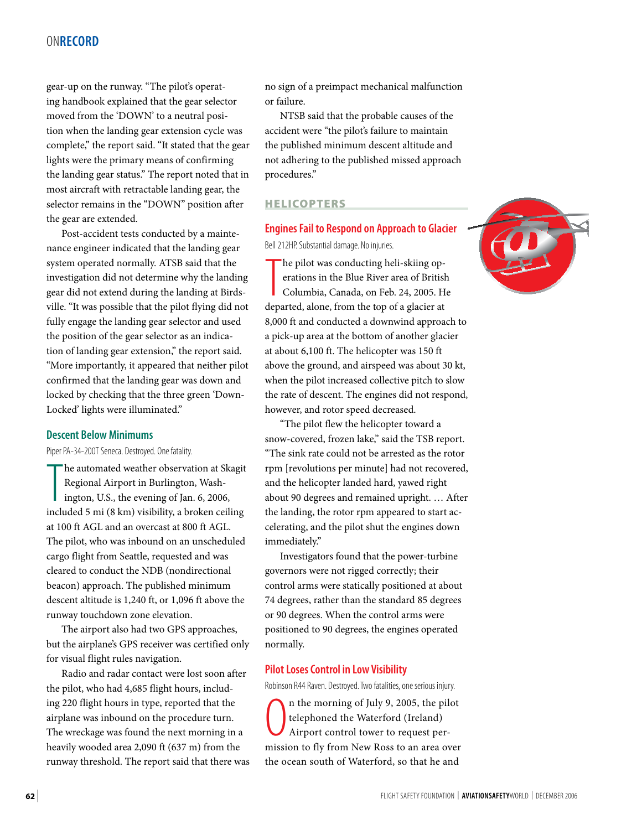gear-up on the runway. "The pilot's operating handbook explained that the gear selector moved from the 'DOWN' to a neutral position when the landing gear extension cycle was complete," the report said. "It stated that the gear lights were the primary means of confirming the landing gear status." The report noted that in most aircraft with retractable landing gear, the selector remains in the "DOWN" position after the gear are extended.

Post-accident tests conducted by a maintenance engineer indicated that the landing gear system operated normally. ATSB said that the investigation did not determine why the landing gear did not extend during the landing at Birdsville. "It was possible that the pilot flying did not fully engage the landing gear selector and used the position of the gear selector as an indication of landing gear extension," the report said. "More importantly, it appeared that neither pilot confirmed that the landing gear was down and locked by checking that the three green 'Down-Locked' lights were illuminated."

#### **Descent Below Minimums**

Piper PA-34-200T Seneca. Destroyed. One fatality.

The automated weather observation at Skagit<br>Regional Airport in Burlington, Wash-<br>ington, U.S., the evening of Jan. 6, 2006,<br>included 5 mi (8 km) visibility, a broken ceiling he automated weather observation at Skagit Regional Airport in Burlington, Washington, U.S., the evening of Jan. 6, 2006, at 100 ft AGL and an overcast at 800 ft AGL. The pilot, who was inbound on an unscheduled cargo flight from Seattle, requested and was cleared to conduct the NDB (nondirectional beacon) approach. The published minimum descent altitude is 1,240 ft, or 1,096 ft above the runway touchdown zone elevation.

The airport also had two GPS approaches, but the airplane's GPS receiver was certified only for visual flight rules navigation.

Radio and radar contact were lost soon after the pilot, who had 4,685 flight hours, including 220 flight hours in type, reported that the airplane was inbound on the procedure turn. The wreckage was found the next morning in a heavily wooded area 2,090 ft (637 m) from the runway threshold. The report said that there was no sign of a preimpact mechanical malfunction or failure.

NTSB said that the probable causes of the accident were "the pilot's failure to maintain the published minimum descent altitude and not adhering to the published missed approach procedures."

#### HELICOPTERS

#### **Engines Fail to Respond on Approach to Glacier**

Bell 212HP. Substantial damage. No injuries.

 $\prod_{\text{dim}$ he pilot was conducting heli-skiing operations in the Blue River area of British Columbia, Canada, on Feb. 24, 2005. He departed, alone, from the top of a glacier at 8,000 ft and conducted a downwind approach to a pick-up area at the bottom of another glacier at about 6,100 ft. The helicopter was 150 ft above the ground, and airspeed was about 30 kt, when the pilot increased collective pitch to slow the rate of descent. The engines did not respond, however, and rotor speed decreased.

"The pilot flew the helicopter toward a snow-covered, frozen lake," said the TSB report. "The sink rate could not be arrested as the rotor rpm [revolutions per minute] had not recovered, and the helicopter landed hard, yawed right about 90 degrees and remained upright. … After the landing, the rotor rpm appeared to start accelerating, and the pilot shut the engines down immediately."

Investigators found that the power-turbine governors were not rigged correctly; their control arms were statically positioned at about 74 degrees, rather than the standard 85 degrees or 90 degrees. When the control arms were positioned to 90 degrees, the engines operated normally.

#### **Pilot Loses Control in Low Visibility**

Robinson R44 Raven. Destroyed. Two fatalities, one serious injury.

 $\overline{0}$ n the morning of July 9, 2005, the pilot telephoned the Waterford (Ireland) Airport control tower to request permission to fly from New Ross to an area over the ocean south of Waterford, so that he and

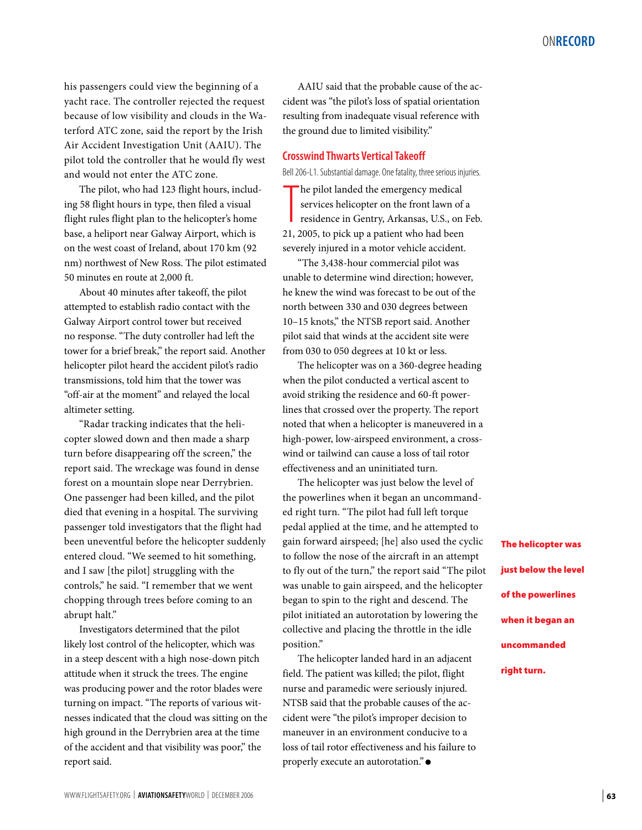his passengers could view the beginning of a yacht race. The controller rejected the request because of low visibility and clouds in the Waterford ATC zone, said the report by the Irish Air Accident Investigation Unit (AAIU). The pilot told the controller that he would fly west and would not enter the ATC zone.

The pilot, who had 123 flight hours, including 58 flight hours in type, then filed a visual flight rules flight plan to the helicopter's home base, a heliport near Galway Airport, which is on the west coast of Ireland, about 170 km (92 nm) northwest of New Ross. The pilot estimated 50 minutes en route at 2,000 ft.

About 40 minutes after takeoff, the pilot attempted to establish radio contact with the Galway Airport control tower but received no response. "The duty controller had left the tower for a brief break," the report said. Another helicopter pilot heard the accident pilot's radio transmissions, told him that the tower was "off-air at the moment" and relayed the local altimeter setting.

"Radar tracking indicates that the helicopter slowed down and then made a sharp turn before disappearing off the screen," the report said. The wreckage was found in dense forest on a mountain slope near Derrybrien. One passenger had been killed, and the pilot died that evening in a hospital. The surviving passenger told investigators that the flight had been uneventful before the helicopter suddenly entered cloud. "We seemed to hit something, and I saw [the pilot] struggling with the controls," he said. "I remember that we went chopping through trees before coming to an abrupt halt."

Investigators determined that the pilot likely lost control of the helicopter, which was in a steep descent with a high nose-down pitch attitude when it struck the trees. The engine was producing power and the rotor blades were turning on impact. "The reports of various witnesses indicated that the cloud was sitting on the high ground in the Derrybrien area at the time of the accident and that visibility was poor," the report said.

AAIU said that the probable cause of the accident was "the pilot's loss of spatial orientation resulting from inadequate visual reference with the ground due to limited visibility."

#### **Crosswind Thwarts Vertical Takeoff**

Bell 206-L1. Substantial damage. One fatality, three serious injuries.

The pilot landed the emergency medical<br>services helicopter on the front lawn of<br>residence in Gentry, Arkansas, U.S., on 1<br>21, 2005, to pick up a patient who had been he pilot landed the emergency medical services helicopter on the front lawn of a residence in Gentry, Arkansas, U.S., on Feb. severely injured in a motor vehicle accident.

"The 3,438-hour commercial pilot was unable to determine wind direction; however, he knew the wind was forecast to be out of the north between 330 and 030 degrees between 10–15 knots," the NTSB report said. Another pilot said that winds at the accident site were from 030 to 050 degrees at 10 kt or less.

The helicopter was on a 360-degree heading when the pilot conducted a vertical ascent to avoid striking the residence and 60-ft powerlines that crossed over the property. The report noted that when a helicopter is maneuvered in a high-power, low-airspeed environment, a crosswind or tailwind can cause a loss of tail rotor effectiveness and an uninitiated turn.

The helicopter was just below the level of the powerlines when it began an uncommanded right turn. "The pilot had full left torque pedal applied at the time, and he attempted to gain forward airspeed; [he] also used the cyclic to follow the nose of the aircraft in an attempt to fly out of the turn," the report said "The pilot was unable to gain airspeed, and the helicopter began to spin to the right and descend. The pilot initiated an autorotation by lowering the collective and placing the throttle in the idle position."

The helicopter landed hard in an adjacent field. The patient was killed; the pilot, flight nurse and paramedic were seriously injured. NTSB said that the probable causes of the accident were "the pilot's improper decision to maneuver in an environment conducive to a loss of tail rotor effectiveness and his failure to properly execute an autorotation." ●

The helicopter was just below the level of the powerlines when it began an uncommanded right turn.